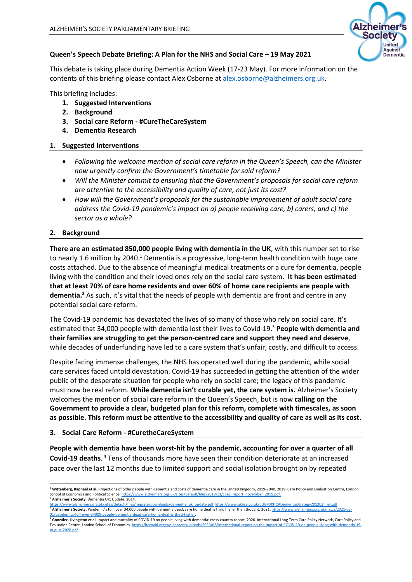

## **Queen's Speech Debate Briefing: A Plan for the NHS and Social Care – 19 May 2021**

This debate is taking place during Dementia Action Week (17-23 May). For more information on the contents of this briefing please contact Alex Osborne at [alex.osborne@alzheimers.org.uk.](mailto:alex.osborne@alzheimers.org.uk)

This briefing includes:

- **1. Suggested Interventions**
- **2. Background**
- **3. Social care Reform - #CureTheCareSystem**
- **4. Dementia Research**

#### **1. Suggested Interventions**

- *Following the welcome mention of social care reform in the Queen's Speech, can the Minister now urgently confirm the Government's timetable for said reform?*
- *Will the Minister commit to ensuring that the Government's proposals for social care reform are attentive to the accessibility and quality of care, not just its cost?*
- *How will the Government's proposals for the sustainable improvement of adult social care address the Covid-19 pandemic's impact on a) people receiving care, b) carers, and c) the sector as a whole?*

## **2. Background**

**There are an estimated 850,000 people living with dementia in the UK**, with this number set to rise to nearly 1.6 million by 2040.<sup>1</sup> Dementia is a progressive, long-term health condition with huge care costs attached. Due to the absence of meaningful medical treatments or a cure for dementia, people living with the condition and their loved ones rely on the social care system. **It has been estimated that at least 70% of care home residents and over 60% of home care recipients are people with dementia.<sup>2</sup>** As such, it's vital that the needs of people with dementia are front and centre in any potential social care reform.

The Covid-19 pandemic has devastated the lives of so many of those who rely on social care. It's estimated that 34,000 people with dementia lost their lives to Covid-19.<sup>3</sup> **People with dementia and their families are struggling to get the person-centred care and support they need and deserve**, while decades of underfunding have led to a care system that's unfair, costly, and difficult to access.

Despite facing immense challenges, the NHS has operated well during the pandemic, while social care services faced untold devastation. Covid-19 has succeeded in getting the attention of the wider public of the desperate situation for people who rely on social care; the legacy of this pandemic must now be real reform. **While dementia isn't curable yet, the care system is.** Alzheimer's Society welcomes the mention of social care reform in the Queen's Speech, but is now **calling on the Government to provide a clear, budgeted plan for this reform, complete with timescales, as soon as possible. This reform must be attentive to the accessibility and quality of care as well as its cost**.

#### **3. Social Care Reform - #CuretheCareSystem**

**People with dementia have been worst-hit by the pandemic, accounting for over a quarter of all Covid-19 deaths**. <sup>4</sup> Tens of thousands more have seen their condition deteriorate at an increased pace over the last 12 months due to limited support and social isolation brought on by repeated

<sup>&</sup>lt;sup>1</sup> Wittenberg, Raphael et al. Projections of older people with dementia and costs of dementia care in the United Kingdom, 2019-2040, 2019. Care Policy and Evaluation Centre, London School of Economics and Political Science. <u>https://www.alzheimers.org.uk/sites/default/files/2019-11/cpec\_report\_november\_2019.pdf.</u><br><sup>2</sup> **Alzheimer's Society**. Dementia UK: Update. 2014.

[https://www.alzheimers.org.uk/sites/default/files/migrate/downloads/dementia\\_uk\\_update.pdf;](https://www.alzheimers.org.uk/sites/default/files/migrate/downloads/dementia_uk_update.pdf)[https://www.ukhca.co.uk/pdfs/UKHCADementiaStrategy201202final.pdf.](https://www.ukhca.co.uk/pdfs/UKHCADementiaStrategy201202final.pdf) <sup>3</sup> Alzheimer's Society. Pandemic's toll: over 34,000 people with dementia dead; care home deaths third higher than thought. 2021[. https://www.alzheimers.org.uk/news/2021-03-](https://www.alzheimers.org.uk/news/2021-03-01/pandemics-toll-over-34000-people-dementia-dead-care-home-deaths-third-higher)

<sup>&</sup>lt;u>01/pandemics-toll-over-34000-people-dementia-dead-care-home-deaths-third-higher.</u><br><sup>4</sup> González, Livingston et al. Impact and mortality of COVID-19 on people living with dementia: cross-country report. 2020. International Evaluation Centre, London School of Economics[. https://ltccovid.org/wp-content/uploads/2020/08/International-report-on-the-impact-of-COVID-19-on-people-living-with-dementia-19-](https://ltccovid.org/wp-content/uploads/2020/08/International-report-on-the-impact-of-COVID-19-on-people-living-with-dementia-19-August-2020.pdf) [August-2020.pdf.](https://ltccovid.org/wp-content/uploads/2020/08/International-report-on-the-impact-of-COVID-19-on-people-living-with-dementia-19-August-2020.pdf)